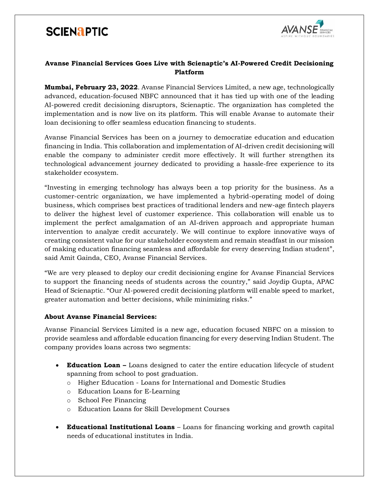# **SCIENAPTIC**



### **Avanse Financial Services Goes Live with Scienaptic's AI-Powered Credit Decisioning Platform**

**Mumbai, February 23, 2022**. Avanse Financial Services Limited, a new age, technologically advanced, education-focused NBFC announced that it has tied up with one of the leading AI-powered credit decisioning disruptors, Scienaptic. The organization has completed the implementation and is now live on its platform. This will enable Avanse to automate their loan decisioning to offer seamless education financing to students.

Avanse Financial Services has been on a journey to democratize education and education financing in India. This collaboration and implementation of AI-driven credit decisioning will enable the company to administer credit more effectively. It will further strengthen its technological advancement journey dedicated to providing a hassle-free experience to its stakeholder ecosystem.

"Investing in emerging technology has always been a top priority for the business. As a customer-centric organization, we have implemented a hybrid-operating model of doing business, which comprises best practices of traditional lenders and new-age fintech players to deliver the highest level of customer experience. This collaboration will enable us to implement the perfect amalgamation of an AI-driven approach and appropriate human intervention to analyze credit accurately. We will continue to explore innovative ways of creating consistent value for our stakeholder ecosystem and remain steadfast in our mission of making education financing seamless and affordable for every deserving Indian student", said Amit Gainda, CEO, Avanse Financial Services.

"We are very pleased to deploy our credit decisioning engine for Avanse Financial Services to support the financing needs of students across the country," said Joydip Gupta, APAC Head of Scienaptic. "Our AI-powered credit decisioning platform will enable speed to market, greater automation and better decisions, while minimizing risks."

#### **About Avanse Financial Services:**

Avanse Financial Services Limited is a new age, education focused NBFC on a mission to provide seamless and affordable education financing for every deserving Indian Student. The company provides loans across two segments:

- **Education Loan –** Loans designed to cater the entire education lifecycle of student spanning from school to post graduation.
	- o Higher Education Loans for International and Domestic Studies
	- o Education Loans for E-Learning
	- o School Fee Financing
	- o Education Loans for Skill Development Courses
- **Educational Institutional Loans** Loans for financing working and growth capital needs of educational institutes in India.